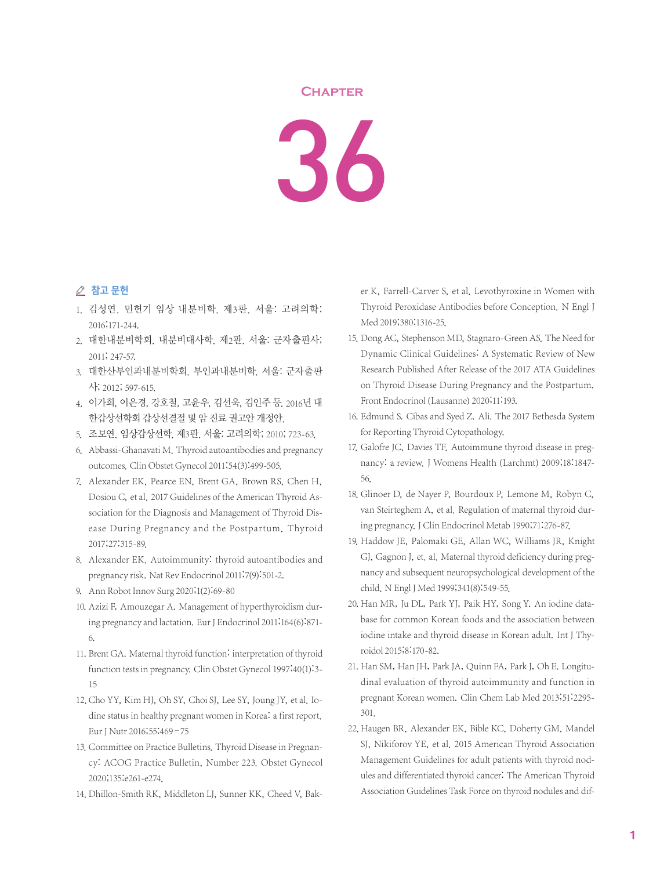## **Chapter**

36

## △ 참고 문헌

- 1. 김성연. 민헌기 임상 내분비학. 제3판. 서울: 고려의학; 2016;171-244.
- 2. 대한내분비학회. 내분비대사학. 제2판. 서울: 군자출판사; 2011; 247-57.
- 3. 대한산부인과내분비학회. 부인과내분비학. 서울: 군자출판 사; 2012; 597-615.
- 4. 이가희, 이은경, 강호철, 고윤우, 김선욱, 김인주 등. 2016년 대 한갑상선학회 갑상선결절 및 암 진료 권고안 개정안.
- 5. 조보연. 임상갑상선학. 제3판. 서울: 고려의학; 2010; 723-63.
- 6. Abbassi-Ghanavati M. Thyroid autoantibodies and pregnancy outcomes. Clin Obstet Gynecol 2011;54(3):499-505.
- 7. Alexander EK, Pearce EN, Brent GA, Brown RS, Chen H, Dosiou C, et al. 2017 Guidelines of the American Thyroid Association for the Diagnosis and Management of Thyroid Disease During Pregnancy and the Postpartum. Thyroid 2017;27:315-89.
- 8. Alexander EK. Autoimmunity: thyroid autoantibodies and pregnancy risk. Nat Rev Endocrinol 2011;7(9):501-2.
- 9. Ann Robot Innov Surg 2020;1(2):69-80
- 10. Azizi F, Amouzegar A. Management of hyperthyroidism during pregnancy and lactation. Eur J Endocrinol 2011;164(6):871- 6.
- 11. Brent GA. Maternal thyroid function: interpretation of thyroid function tests in pregnancy. Clin Obstet Gynecol 1997;40(1):3- 15
- 12. Cho YY, Kim HJ, Oh SY, Choi SJ, Lee SY, Joung JY, et al. Iodine status in healthy pregnant women in Korea: a first report. Eur J Nutr 2016;55:469–75
- 13. Committee on Practice Bulletins. Thyroid Disease in Pregnancy: ACOG Practice Bulletin, Number 223. Obstet Gynecol 2020;135:e261-e274.
- 14. Dhillon-Smith RK, Middleton LJ, Sunner KK, Cheed V, Bak-

er K, Farrell-Carver S, et al. Levothyroxine in Women with Thyroid Peroxidase Antibodies before Conception. N Engl J Med 2019;380:1316-25.

- 15. Dong AC, Stephenson MD, Stagnaro-Green AS. The Need for Dynamic Clinical Guidelines: A Systematic Review of New Research Published After Release of the 2017 ATA Guidelines on Thyroid Disease During Pregnancy and the Postpartum. Front Endocrinol(Lausanne) 2020;11:193.
- 16. Edmund S. Cibas and Syed Z. Ali. The 2017 Bethesda System for Reporting Thyroid Cytopathology.
- 17. Galofre JC, Davies TF. Autoimmune thyroid disease in pregnancy: a review. J Womens Health (Larchmt) 2009;18:1847- 56.
- 18. Glinoer D, de Nayer P, Bourdoux P, Lemone M, Robyn C, van Steirteghem A, et al. Regulation of maternal thyroid during pregnancy.J Clin Endocrinol Metab 1990;71:276-87.
- 19. Haddow JE, Palomaki GE, Allan WC, Williams JR, Knight GJ, Gagnon J, et. al. Maternal thyroid deficiency during pregnancy and subsequent neuropsychological development of the child. N Engl J Med 1999;341(8):549-55.
- 20. Han MR, Ju DL, Park YJ, Paik HY, Song Y. An iodine database for common Korean foods and the association between iodine intake and thyroid disease in Korean adult. Int J Thyroidol 2015;8:170-82.
- 21. Han SM, Han JH, Park JA, Quinn FA, Park J, Oh E. Longitudinal evaluation of thyroid autoimmunity and function in pregnant Korean women. Clin Chem Lab Med 2013;51:2295- 301.
- 22. Haugen BR, Alexander EK, Bible KC, Doherty GM, Mandel SJ, Nikiforov YE, et al. 2015 American Thyroid Association Management Guidelines for adult patients with thyroid nodules and differentiated thyroid cancer: The American Thyroid Association Guidelines Task Force on thyroid nodules and dif-